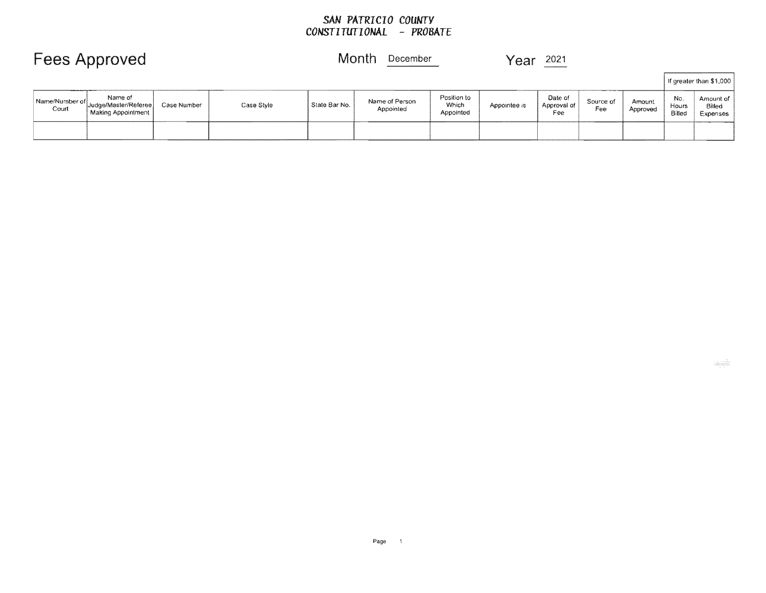#### *SAN PATRICIO COUNTY CONSTITUTIONAL* **-** *PROBATE*

|                         | <b>Fees Approved</b>                                   |             |            | Month<br>December<br>Year |                             |                                   | 2021         |                               |                  |                    |                               |                                 |
|-------------------------|--------------------------------------------------------|-------------|------------|---------------------------|-----------------------------|-----------------------------------|--------------|-------------------------------|------------------|--------------------|-------------------------------|---------------------------------|
|                         |                                                        |             |            |                           |                             |                                   |              |                               |                  |                    |                               | If greater than \$1,000         |
| Name/Number of<br>Court | Name of<br>Judge/Master/Referee)<br>Making Appointment | Case Number | Case Style | State Bar No.             | Name of Person<br>Appointed | Position to<br>Which<br>Appointed | Appointee is | Date of<br>Approval of<br>Fee | Source of<br>Fee | Amount<br>Approved | No.<br><b>Hours</b><br>Billed | Amount of<br>Billed<br>Expenses |
|                         |                                                        |             |            |                           |                             |                                   |              |                               |                  |                    |                               |                                 |

<u>i</u>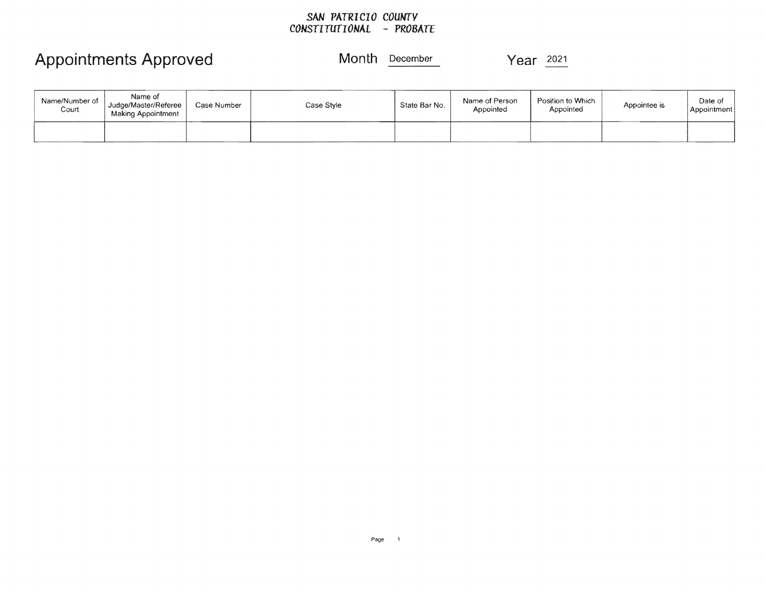## *SAN PATRICIO COUNTY CONSTITUTIONAL* - *PROBATE*

## Appointments Approved Month December Year 2021

| Name/Number of<br>Court | Name of<br>Judge/Master/Referee<br>Making Appointment | Case Number | Case Style | State Bar No. | Name of Person<br>Appointed | Position to Which<br>Appointed | Appointee is | Date of<br>Appointment |
|-------------------------|-------------------------------------------------------|-------------|------------|---------------|-----------------------------|--------------------------------|--------------|------------------------|
|                         |                                                       |             |            |               |                             |                                |              |                        |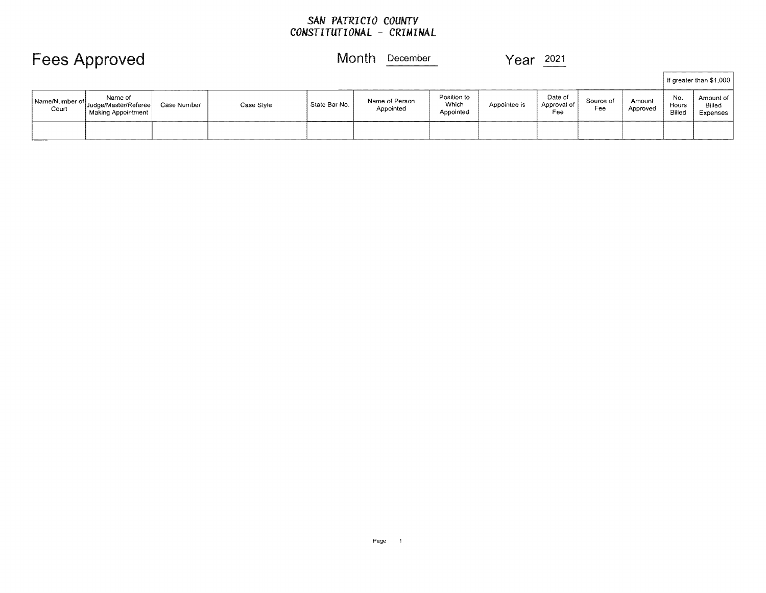## *SAN PATRICIO COUNTY CONSTITUTIONAL* - *CRIMINAL*

|                         | <b>Fees Approved</b>                                    |             |            |               | Month<br>December           |                                   | $\gamma$ ear | 2021                          |                  |                    |                        |                                 |
|-------------------------|---------------------------------------------------------|-------------|------------|---------------|-----------------------------|-----------------------------------|--------------|-------------------------------|------------------|--------------------|------------------------|---------------------------------|
|                         |                                                         |             |            |               |                             |                                   |              |                               |                  |                    |                        | If greater than \$1,000         |
| Name/Number of<br>Court | Name of<br>' Judge/Master/Referee<br>Making Appointment | Case Number | Case Style | State Bar No. | Name of Person<br>Appointed | Position to<br>Which<br>Appointed | Appointee is | Date of<br>Approval of<br>Fee | Source of<br>Fee | Amount<br>Approved | No.<br>Hours<br>Billed | Amount of<br>Billed<br>Expenses |
|                         |                                                         |             |            |               |                             |                                   |              |                               |                  |                    |                        |                                 |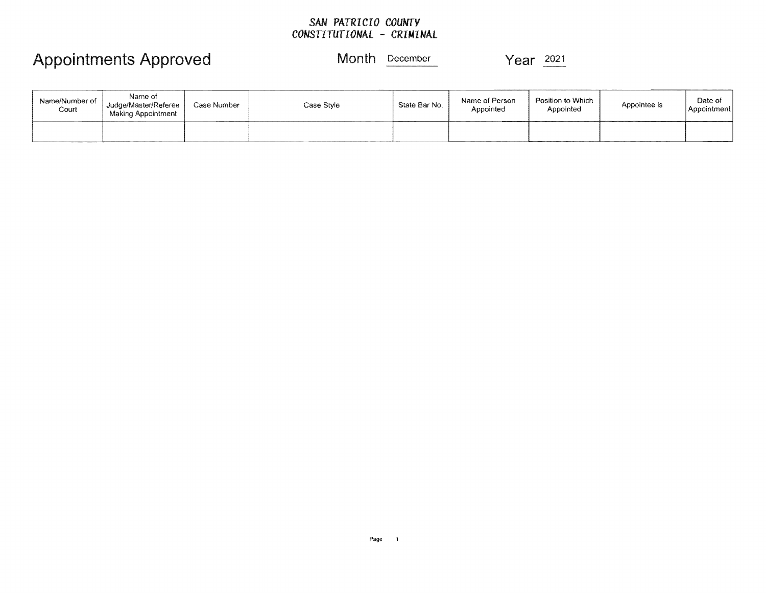## *SAN* **PATRICIO** *COUNTY CONSTITUTIONAL* **- CRIMINAL**

## Appointments Approved Month **December** Year  $\frac{2021}{2021}$

| Name/Number of<br>Court | Name of<br>Judge/Master/Referee<br>Making Appointment | Case Number | Case Style | State Bar No. | Name of Person<br>Appointed | Position to Which<br>Appointed | Appointee is | Date of<br>  Appointment |
|-------------------------|-------------------------------------------------------|-------------|------------|---------------|-----------------------------|--------------------------------|--------------|--------------------------|
|                         |                                                       |             |            |               |                             |                                |              |                          |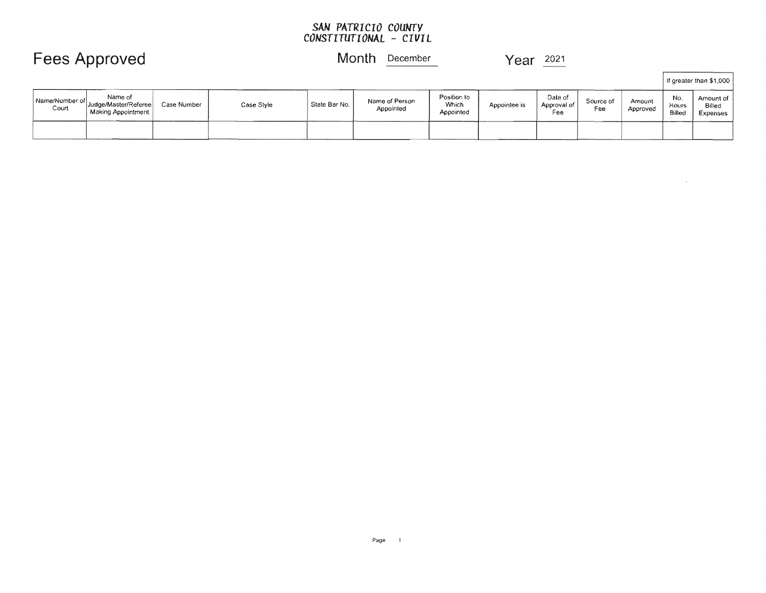### *SAN PATRICIO COUNTY CONSTITUTIONAL* - *CIVIL*

## Fees Approved Month December Year 2021

 $\bar{r}$ 

|                         |                                                         |             |            |               |                             |                                   |              |                               |                  |                    |                        | If greater than \$1,000         |
|-------------------------|---------------------------------------------------------|-------------|------------|---------------|-----------------------------|-----------------------------------|--------------|-------------------------------|------------------|--------------------|------------------------|---------------------------------|
| Name/Number of<br>Court | Name of<br>Judge/Master/Referee<br>  Making Appointment | Case Number | Case Style | State Bar No. | Name of Person<br>Appointed | Position to<br>Which<br>Appointed | Appointee is | Date of<br>Approval of<br>Fee | Source of<br>Fee | Amount<br>Approved | No.<br>Hours<br>Billed | Amount of<br>Billed<br>Expenses |
|                         |                                                         |             |            |               |                             |                                   |              |                               |                  |                    |                        |                                 |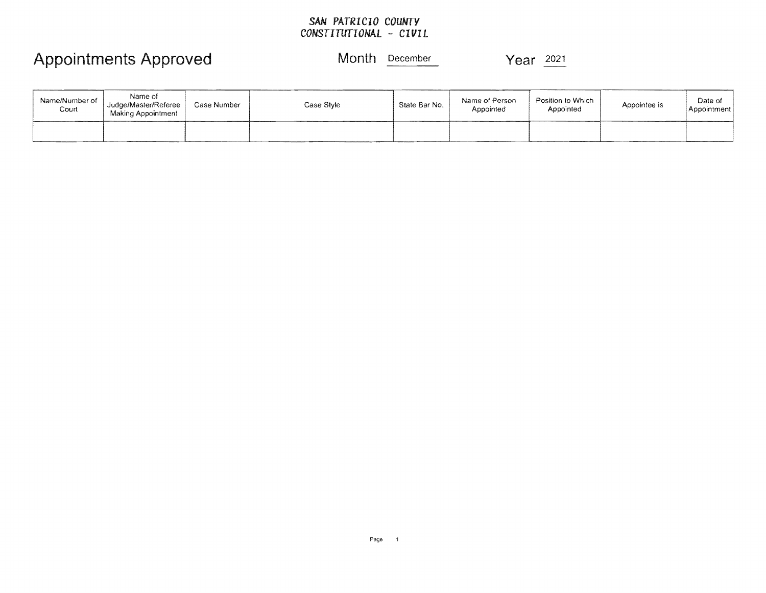## *SAN* **PATRICIO** *COUNTY CONSTITUTIONAL* **-** *CIVIL*

## Appointments Approved Month **December** Year <sup>2021</sup>

| Name/Number of<br>Court | Name of<br>Judge/Master/Referee<br>Making Appointment | Case Number | Case Style | State Bar No. | Name of Person<br>Appointed | Position to Which<br>Appointed | Appointee is | Date of<br>Appointment |
|-------------------------|-------------------------------------------------------|-------------|------------|---------------|-----------------------------|--------------------------------|--------------|------------------------|
|                         |                                                       |             |            |               |                             |                                |              |                        |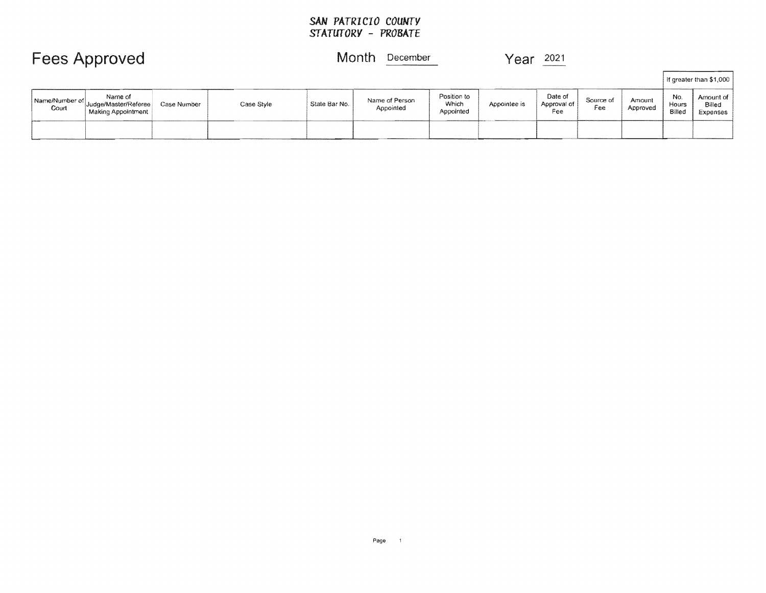## SAN *PATRICIO COUNTY STATUTORY* - *PROBATE*

|                         | <b>Fees Approved</b>                                      |             |            |               | Month<br>December           |                                   | Year         | 2021                          |                  |                    |                        |                                 |
|-------------------------|-----------------------------------------------------------|-------------|------------|---------------|-----------------------------|-----------------------------------|--------------|-------------------------------|------------------|--------------------|------------------------|---------------------------------|
|                         |                                                           |             |            |               |                             |                                   |              |                               |                  |                    |                        | If greater than \$1,000         |
| Name/Number of<br>Court | Name of<br>` Judqe/Master/Referee  <br>Making Appointment | Case Number | Case Style | State Bar No. | Name of Person<br>Appointed | Position to<br>Which<br>Appointed | Appointee is | Date of<br>Approval of<br>Fee | Source of<br>Fee | Amount<br>Approved | No.<br>Hours<br>Billed | Amount of<br>Billed<br>Expenses |
|                         |                                                           |             |            |               |                             |                                   |              |                               |                  |                    |                        |                                 |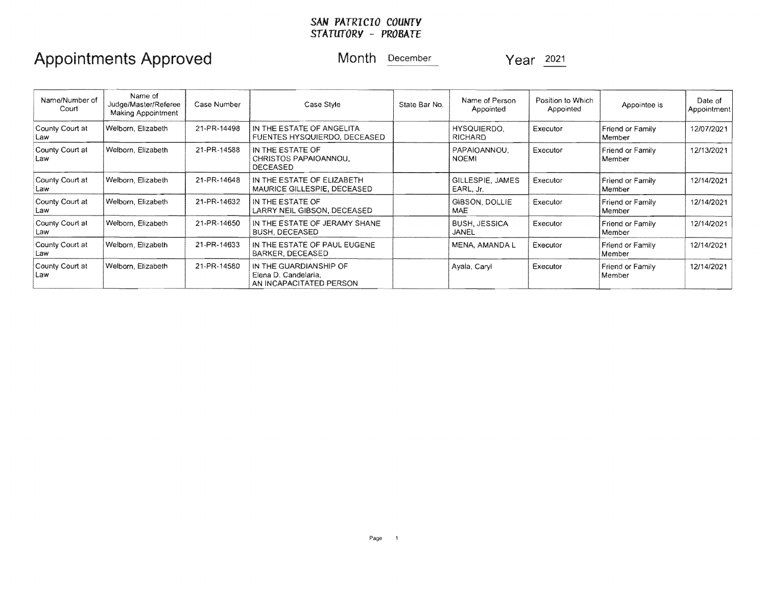### *SAN PATRICIO COUNTY STATUTORY – PROBATE*

## Appointments Approved Month December Year 2021

| Name/Number of<br>Court | Name of<br>Judge/Master/Referee<br>Making Appointment | Case Number | Case Style                                                                | State Bar No. | Name of Person<br>Appointed          | Position to Which<br>Appointed | Appointee is               | Date of<br>Appointment |
|-------------------------|-------------------------------------------------------|-------------|---------------------------------------------------------------------------|---------------|--------------------------------------|--------------------------------|----------------------------|------------------------|
| County Court at<br>Law  | Welborn, Elizabeth                                    | 21-PR-14498 | IN THE ESTATE OF ANGELITA<br>FUENTES HYSQUIERDO, DECEASED                 |               | HYSQUIERDO.<br><b>RICHARD</b>        | Executor                       | Friend or Family<br>Member | 12/07/2021             |
| County Court at<br>Law  | Welborn, Elizabeth                                    | 21-PR-14588 | IN THE ESTATE OF<br>CHRISTOS PAPAIOANNOU.<br><b>DECEASED</b>              |               | PAPAIOANNOU.<br><b>NOEMI</b>         | Executor                       | Friend or Family<br>Member | 12/13/2021             |
| County Court at<br>Law  | Welborn, Elizabeth                                    | 21-PR-14648 | IN THE ESTATE OF ELIZABETH<br>MAURICE GILLESPIE, DECEASED                 |               | <b>GILLESPIE, JAMES</b><br>EARL, Jr. | Executor                       | Friend or Family<br>Member | 12/14/2021             |
| County Court at<br>Law  | Welborn, Elizabeth                                    | 21-PR-14632 | IN THE ESTATE OF<br>LARRY NEIL GIBSON, DECEASED                           |               | GIBSON, DOLLIE<br><b>MAE</b>         | Executor                       | Friend or Family<br>Member | 12/14/2021             |
| County Court at<br>Law  | Welborn, Elizabeth                                    | 21-PR-14650 | IN THE ESTATE OF JERAMY SHANE<br>BUSH, DECEASED                           |               | <b>BUSH, JESSICA</b><br>JANEL        | Executor                       | Friend or Family<br>Member | 12/14/2021             |
| County Court at<br>Law  | Welborn, Elizabeth                                    | 21-PR-14633 | IN THE ESTATE OF PAUL EUGENE<br>BARKER, DECEASED                          |               | MENA, AMANDA L                       | Executor                       | Friend or Family<br>Member | 12/14/2021             |
| County Court at<br>Law  | Welborn, Elizabeth                                    | 21-PR-14580 | IN THE GUARDIANSHIP OF<br>Elena D. Candelaria.<br>AN INCAPACITATED PERSON |               | Ayala, Caryl                         | Executor                       | Friend or Family<br>Member | 12/14/2021             |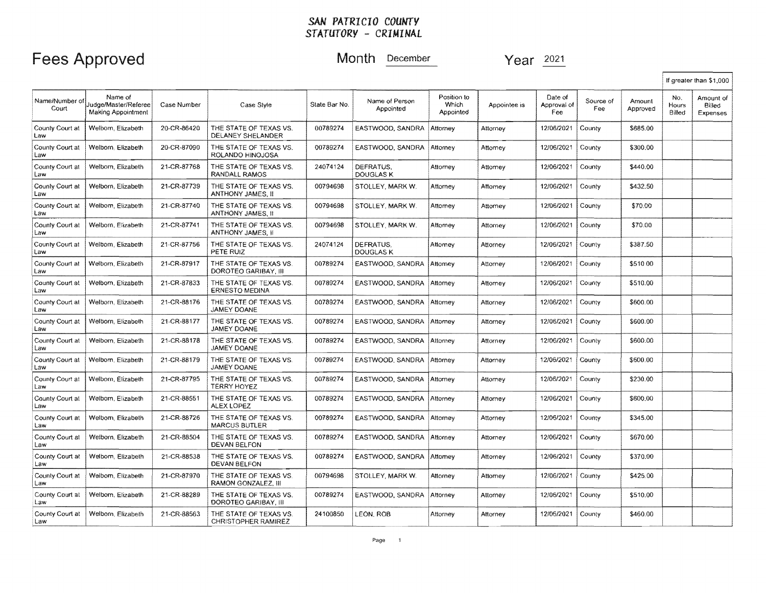## Fees Approved Month December Year 2021

|                        |                                                       |             |                                                      |               |                             |                                   |              |                               |                  |                    |                        | If greater than \$1,000         |
|------------------------|-------------------------------------------------------|-------------|------------------------------------------------------|---------------|-----------------------------|-----------------------------------|--------------|-------------------------------|------------------|--------------------|------------------------|---------------------------------|
| Name/Number o<br>Court | Name of<br>Judge/Master/Referee<br>Making Appointment | Case Number | Case Style                                           | State Bar No. | Name of Person<br>Appointed | Position to<br>Which<br>Appointed | Appointee is | Date of<br>Approval of<br>Fee | Source of<br>Fee | Amount<br>Approved | No.<br>Hours<br>Billed | Amount of<br>Billed<br>Expenses |
| County Court at<br>Law | Welborn, Elizabeth                                    | 20-CR-86420 | THE STATE OF TEXAS VS.<br>DELANEY SHELANDER          | 00789274      | EASTWOOD, SANDRA            | Attorney                          | Attorney     | 12/06/2021                    | County           | \$685.00           |                        |                                 |
| County Court at<br>Law | Welborn, Elizabeth                                    | 20-CR-87090 | THE STATE OF TEXAS VS.<br>ROLANDO HINOJOSA           | 00789274      | EASTWOOD, SANDRA            | Attorney                          | Attomey      | 12/06/2021                    | County           | \$300.00           |                        |                                 |
| County Court at<br>Law | Welborn, Elizabeth                                    | 21-CR-87768 | THE STATE OF TEXAS VS.<br>RANDALL RAMOS              | 24074124      | DEFRATUS.<br>DOUGLAS K      | Attomey                           | Attorney     | 12/06/2021                    | County           | \$440.00           |                        |                                 |
| County Court at<br>Law | Welborn, Elizabeth                                    | 21-CR-87739 | THE STATE OF TEXAS VS.<br>ANTHONY JAMES, II          | 00794698      | STOLLEY, MARK W.            | Attorney                          | Attorney     | 12/06/2021                    | County           | \$432.50           |                        |                                 |
| County Court at<br>Law | Welbom, Elizabeth                                     | 21-CR-87740 | THE STATE OF TEXAS VS.<br>ANTHONY JAMES. II          | 00794698      | STOLLEY, MARK W.            | Attornev                          | Attorney     | 12/06/2021                    | County           | \$70.00            |                        |                                 |
| County Court at<br>Law | Welborn, Elizabeth                                    | 21-CR-87741 | THE STATE OF TEXAS VS.<br>ANTHONY JAMES, II          | 00794698      | STOLLEY, MARK W.            | Attorney                          | Attorney     | 12/06/2021                    | County           | \$70.00            |                        |                                 |
| County Court at<br>Law | Welborn, Elizabeth                                    | 21-CR-87756 | THE STATE OF TEXAS VS.<br>PETE RUIZ                  | 24074124      | DEFRATUS.<br>DOUGLAS K      | Atlomey                           | Attorney     | 12/06/2021                    | County           | \$387.50           |                        |                                 |
| County Court at<br>Law | Welborn, Elizabeth                                    | 21-CR-87917 | THE STATE OF TEXAS VS.<br>DOROTEO GARIBAY, III       | 00789274      | EASTWOOD, SANDRA            | Attorney                          | Attomey      | 12/06/2021                    | County           | \$510.00           |                        |                                 |
| County Court at<br>Law | Welborn, Elizabeth                                    | 21-CR-87833 | THE STATE OF TEXAS VS.<br><b>ERNESTO MEDINA</b>      | 00789274      | EASTWOOD, SANDRA            | Attorney                          | Attorney     | 12/06/2021                    | County           | \$510.00           |                        |                                 |
| County Court at<br>Law | Welborn, Elizabeth                                    | 21-CR-88176 | THE STATE OF TEXAS VS.<br>JAMEY DOANE                | 00789274      | EASTWOOD, SANDRA            | Attorney                          | Attorney     | 12/06/2021                    | County           | \$600.00           |                        |                                 |
| County Court at<br>Law | Welborn, Elizabeth                                    | 21-CR-88177 | THE STATE OF TEXAS VS.<br>JAMEY DOANE                | 00789274      | EASTWOOD, SANDRA            | Attorney                          | Attorney     | 12/06/2021                    | County           | \$600.00           |                        |                                 |
| County Court at<br>Law | Welbom, Elizabeth                                     | 21-CR-88178 | THE STATE OF TEXAS VS.<br>JAMEY DOANE                | 00789274      | EASTWOOD, SANDRA            | Attorney                          | Attorney     | 12/06/2021                    | County           | \$600.00           |                        |                                 |
| County Court at<br>Law | Welborn, Elizabeth                                    | 21-CR-88179 | THE STATE OF TEXAS VS.<br><b>JAMEY DOANE</b>         | 00789274      | EASTWOOD, SANDRA            | Attorney                          | Attomey      | 12/06/2021                    | County           | \$600.00           |                        |                                 |
| County Court at<br>Law | Welborn, Elizabeth                                    | 21-CR-87795 | THE STATE OF TEXAS VS.<br>TERRY HOYEZ                | 00789274      | EASTWOOD, SANDRA            | Attorney                          | Attorney     | 12/06/2021                    | County           | \$230.00           |                        |                                 |
| County Court at<br>Law | Welborn, Elizabeth                                    | 21-CR-88551 | THE STATE OF TEXAS VS.<br>ALEX LOPEZ                 | 00789274      | EASTWOOD, SANDRA            | Attorney                          | Attorney     | 12/06/2021                    | County           | \$600,00           |                        |                                 |
| County Court at<br>Law | Welborn, Elizabeth                                    | 21-CR-88726 | THE STATE OF TEXAS VS.<br><b>MARCUS BUTLER</b>       | 00789274      | EASTWOOD, SANDRA            | Attorney                          | Attorney     | 12/06/2021                    | County           | \$345.00           |                        |                                 |
| County Court at<br>Law | Welborn, Elizabeth                                    | 21-CR-88504 | THE STATE OF TEXAS VS.<br>DEVAN BELFON               | 00789274      | EASTWOOD, SANDRA            | Attorney                          | Attornev     | 12/06/2021                    | County           | \$670.00           |                        |                                 |
| County Court at<br>Law | Welbom, Elizabeth                                     | 21-CR-88538 | THE STATE OF TEXAS VS.<br><b>DEVAN BELFON</b>        | 00789274      | EASTWOOD, SANDRA            | Attorney                          | Attorney     | 12/06/2021                    | County           | \$370.00           |                        |                                 |
| County Court at<br>Law | Welborn, Elizabeth                                    | 21-CR-87970 | THE STATE OF TEXAS VS.<br>RAMON GONZALEZ. III        | 00794698      | STOLLEY, MARK W.            | Attorney                          | Attorney     | 12/06/2021                    | County           | \$425.00           |                        |                                 |
| County Court at<br>Law | Welborn, Elizabeth                                    | 21-CR-88289 | THE STATE OF TEXAS VS.<br>DOROTEO GARIBAY, III       | 00789274      | EASTWOOD, SANDRA            | Attorney                          | Attorney     | 12/06/2021                    | County           | \$510.00           |                        |                                 |
| County Court at<br>Law | Welborn, Elizabeth                                    | 21-CR-88563 | THE STATE OF TEXAS VS.<br><b>CHRISTOPHER RAMIREZ</b> | 24100850      | LEON, ROB                   | Attorney                          | Attorney     | 12/06/2021                    | County           | \$460.00           |                        |                                 |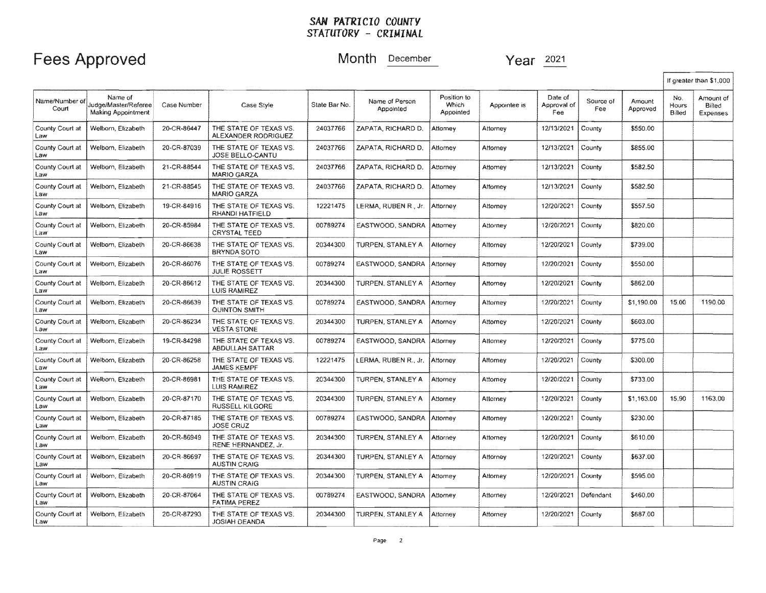# **Approved** Month **December Year** 2021

|                         |                                                              |             |                                                  |               |                             |                                   |              |                               |                  |                    |                        | If greater than \$1,000         |
|-------------------------|--------------------------------------------------------------|-------------|--------------------------------------------------|---------------|-----------------------------|-----------------------------------|--------------|-------------------------------|------------------|--------------------|------------------------|---------------------------------|
| Name/Number of<br>Court | Name of<br>Judge/Master/Referee<br><b>Making Appointment</b> | Case Number | Case Style                                       | State Bar No. | Name of Person<br>Appointed | Position to<br>Which<br>Appointed | Appointee is | Date of<br>Approval of<br>Fee | Source of<br>Fee | Amount<br>Approved | No.<br>Hours<br>Billed | Amount of<br>Billed<br>Expenses |
| County Court at<br>Law  | Welborn, Elizabeth                                           | 20-CR-86447 | THE STATE OF TEXAS VS.<br>ALEXANDER RODRIGUEZ    | 24037766      | ZAPATA. RICHARD D.          | Attomey                           | Attorney     | 12/13/2021                    | County           | \$550.00           |                        |                                 |
| County Court at<br>Law  | Welborn, Elizabeth                                           | 20-CR-87039 | THE STATE OF TEXAS VS.<br>JOSE BELLO-CANTU       | 24037766      | ZAPATA, RICHARD D.          | Attorney                          | Attorney     | 12/13/2021                    | County           | \$855.00           |                        |                                 |
| County Court at<br>Law  | Welborn, Elizabeth                                           | 21-CR-88544 | THE STATE OF TEXAS VS.<br><b>MARIO GARZA</b>     | 24037766      | ZAPATA. RICHARD D.          | Attorney                          | Attorney     | 12/13/2021                    | County           | \$582.50           |                        |                                 |
| County Court at<br>Law  | Welborn, Elizabeth                                           | 21-CR-88545 | THE STATE OF TEXAS VS.<br>MARIO GARZA            | 24037766      | ZAPATA, RICHARD D.          | Attomey                           | Attorney     | 12/13/2021                    | County           | \$582.50           |                        |                                 |
| County Court at<br>Law  | Welborn, Elizabeth                                           | 19-CR-84916 | THE STATE OF TEXAS VS.<br>RHANDI HATFIELD        | 12221475      | LERMA, RUBEN R., Jr.        | Attorney                          | Attorney     | 12/20/2021                    | County           | \$557.50           |                        |                                 |
| County Court at<br>Law  | Welborn, Elizabeth                                           | 20-CR-85984 | THE STATE OF TEXAS VS.<br><b>CRYSTAL TEED</b>    | 00789274      | EASTWOOD, SANDRA            | Attorney                          | Attorney     | 12/20/2021                    | County           | \$820.00           |                        |                                 |
| County Court at<br>Law  | Welborn, Elizabeth                                           | 20-CR-86638 | THE STATE OF TEXAS VS.<br><b>BRYNDA SOTO</b>     | 20344300      | TURPEN, STANLEY A           | Attorney                          | Attomey      | 12/20/2021                    | County           | \$739.00           |                        |                                 |
| County Court at<br>Law  | Welborn, Elizabeth                                           | 20-CR-86076 | THE STATE OF TEXAS VS.<br><b>JULIE ROSSETT</b>   | 00789274      | EASTWOOD, SANDRA            | Attorney                          | Attorney     | 12/20/2021                    | County           | \$550.00           |                        |                                 |
| County Court at<br>Law  | Welborn, Elizabeth                                           | 20-CR-86612 | THE STATE OF TEXAS VS.<br>LUIS RAMIREZ           | 20344300      | TURPEN, STANLEY A           | Attorney                          | Attomey      | 12/20/2021                    | County           | \$862.00           |                        |                                 |
| County Court at<br>Law  | Welborn, Elizabeth                                           | 20-CR-86639 | THE STATE OF TEXAS VS.<br><b>QUINTON SMITH</b>   | 00789274      | EASTWOOD, SANDRA            | Attorney                          | Attornev     | 12/20/2021                    | County           | \$1,190.00         | 15.00                  | 1190.00                         |
| County Court at<br>Law  | Welborn, Elizabeth                                           | 20-CR-86234 | THE STATE OF TEXAS VS.<br><b>VESTA STONE</b>     | 20344300      | TURPEN, STANLEY A           | Attorney                          | Attorney     | 12/20/2021                    | County           | \$603.00           |                        |                                 |
| County Court at<br>Law  | Welborn, Elizabeth                                           | 19-CR-84298 | THE STATE OF TEXAS VS.<br>ABDULLAH SATTAR        | 00789274      | EASTWOOD, SANDRA            | Attorney                          | Attorney     | 12/20/2021                    | County           | \$775.00           |                        |                                 |
| County Court at<br>Law  | Welborn, Elizabeth                                           | 20-CR-86258 | THE STATE OF TEXAS VS.<br><b>JAMES KEMPF</b>     | 12221475      | LERMA, RUBEN R., Jr.        | Attorney                          | Attorney     | 12/20/2021                    | County           | \$300.00           |                        |                                 |
| County Court at<br>Law  | Welborn, Elizabeth                                           | 20-CR-86981 | THE STATE OF TEXAS VS.<br>LUIS RAMIREZ           | 20344300      | TURPEN, STANLEY A           | Attorney                          | Attorney     | 12/20/2021                    | County           | \$733.00           |                        |                                 |
| County Court at<br>Law  | Welborn, Elizabeth                                           | 20-CR-87170 | THE STATE OF TEXAS VS.<br><b>RUSSELL KILGORE</b> | 20344300      | TURPEN, STANLEY A           | Attorney                          | Allorney     | 12/20/2021                    | County           | \$1,163.00         | 15.90                  | 1163.00                         |
| County Court at<br>Law  | Welborn, Elizabeth                                           | 20-CR-87185 | THE STATE OF TEXAS VS.<br><b>JOSE CRUZ</b>       | 00789274      | EASTWOOD, SANDRA            | Attorney                          | Attornev     | 12/20/2021                    | County           | \$230.00           |                        |                                 |
| County Court at<br>Law  | Welborn, Elizabeth                                           | 20-CR-86949 | THE STATE OF TEXAS VS.<br>RENE HERNANDEZ, Jr.    | 20344300      | TURPEN, STANLEY A           | Attorney                          | Attorney     | 12/20/2021                    | County           | \$610.00           |                        |                                 |
| County Court at<br>Law  | Welborn, Elizabeth                                           | 20-CR-86697 | THE STATE OF TEXAS VS.<br><b>AUSTIN CRAIG</b>    | 20344300      | TURPEN, STANLEY A           | Attorney                          | Attorney     | 12/20/2021                    | County           | \$637.00           |                        |                                 |
| County Court at<br>Law  | Welbom, Elizabeth                                            | 20-CR-86919 | THE STATE OF TEXAS VS.<br><b>AUSTIN CRAIG</b>    | 20344300      | TURPEN. STANLEY A           | Attomey                           | Attorney     | 12/20/2021                    | County           | \$595.00           |                        |                                 |
| County Court at<br>Law  | Welborn, Elizabeth                                           | 20-CR-87064 | THE STATE OF TEXAS VS.<br>FATIMA PEREZ           | 00789274      | EASTWOOD, SANDRA            | Attorney                          | Attorney     | 12/20/2021                    | Defendant        | \$460.00           |                        |                                 |
| County Court at<br>Law  | Welborn, Elizabeth                                           | 20-CR-87293 | THE STATE OF TEXAS VS.<br>JOSIAH DEANDA          | 20344300      | TURPEN, STANLEY A           | Attorney                          | Attorney     | 12/20/2021                    | County           | \$687.00           |                        |                                 |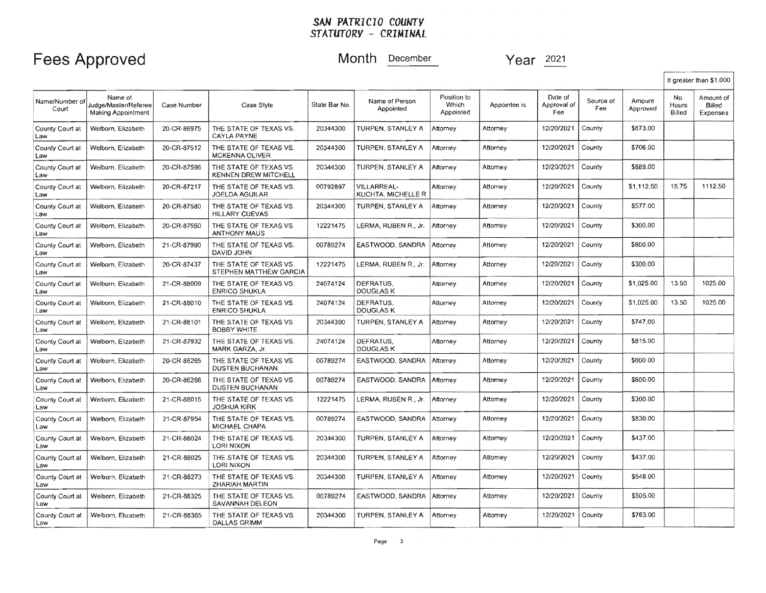# Fees Approved Month **December** Year  $\frac{2021}{2021}$

I

|                         |                                                       |             |                                                       |               |                                   |                                          |              |                               |                  |                    |                        | If greater than \$1,000         |
|-------------------------|-------------------------------------------------------|-------------|-------------------------------------------------------|---------------|-----------------------------------|------------------------------------------|--------------|-------------------------------|------------------|--------------------|------------------------|---------------------------------|
| Name/Number of<br>Court | Name of<br>Judge/Master/Referee<br>Making Appointment | Case Number | Case Style                                            | State Bar No. | Name of Person<br>Appointed       | Position to<br><b>Which</b><br>Appointed | Appointee is | Date of<br>Approval of<br>Fee | Source of<br>Fee | Amount<br>Approved | No.<br>Hours<br>Billed | Amount of<br>Billed<br>Expenses |
| County Court at<br>Law  | Welborn, Elizabeth                                    | 20-CR-86975 | THE STATE OF TEXAS VS.<br>CAYLA PAYNE                 | 20344300      | TURPEN, STANLEY A                 | Attomey                                  | Attorney     | 12/20/2021                    | County           | \$673.00           |                        |                                 |
| County Court at<br>Law  | Welborn, Elizabeth                                    | 20-CR-87512 | THE STATE OF TEXAS VS.<br><b>MCKENNA OLIVER</b>       | 20344300      | TURPEN, STANLEY A                 | Attorney                                 | Attorney     | 12/20/2021                    | County           | \$706.00           |                        |                                 |
| County Court at<br>Law  | Welborn, Elizabeth                                    | 20-CR-87596 | THE STATE OF TEXAS VS.<br><b>KENNEN DREW MITCHELL</b> | 20344300      | TURPEN, STANLEY A                 | Attorney                                 | Attorney     | 12/20/2021                    | County           | \$889,00           |                        |                                 |
| County Court at<br>Law  | Welborn, Elizabeth                                    | 20-CR-87217 | THE STATE OF TEXAS VS.<br><b>JOELDA AGUILAR</b>       | 00792897      | VILLARREAL-<br>KUCHTA, MICHELLE R | Attomey                                  | Attorney     | 12/20/2021                    | County           | \$1,112.50         | 15.75                  | 1112.50                         |
| County Court at<br>Law  | Welborn, Elizabeth                                    | 20-CR-87580 | THE STATE OF TEXAS VS.<br><b>HILLARY CUEVAS</b>       | 20344300      | TURPEN, STANLEY A                 | Attorney                                 | Attorney     | 12/20/2021                    | County           | \$577.00           |                        |                                 |
| County Court at<br>Law  | Welborn, Elizabeth                                    | 20-CR-87550 | THE STATE OF TEXAS VS.<br><b>ANTHONY MAUS</b>         | 12221475      | LERMA, RUBEN R., Jr.              | Attornev                                 | Attorney     | 12/20/2021                    | County           | \$300.00           |                        |                                 |
| County Court at<br>Law  | Welborn, Elizabeth                                    | 21-CR-87990 | THE STATE OF TEXAS VS.<br>DAVID JOHN                  | 00789274      | EASTWOOD, SANDRA                  | Attorney                                 | Attorney     | 12/20/2021                    | County           | \$600.00           |                        |                                 |
| County Court at<br>Law  | Welborn, Elizabeth                                    | 20-CR-87437 | THE STATE OF TEXAS VS.<br>STEPHEN MATTHEW GARCIA      | 12221475      | LERMA, RUBEN R., Jr.              | Attornev                                 | Attorney     | 12/20/2021                    | County           | \$300.00           |                        |                                 |
| County Court at<br>Law  | Welborn, Elizabeth                                    | 21-CR-88009 | THE STATE OF TEXAS VS.<br><b>ENRICO SHUKLA</b>        | 24074124      | DEFRATUS.<br><b>DOUGLAS K</b>     | Attomey                                  | Attorney     | 12/20/2021                    | County           | \$1,025.00         | 13.50                  | 1025.00                         |
| County Court at<br>Law  | Welborn, Elizabeth                                    | 21-CR-88010 | THE STATE OF TEXAS VS.<br><b>ENRICO SHUKLA</b>        | 24074124      | DEFRATUS.<br>DOUGLAS K            | Attorney                                 | Attorney     | 12/20/2021                    | County           | \$1,025.00         | 13.50                  | 1025.00                         |
| County Court at<br>Law  | Welborn, Elizabeth                                    | 21-CR-88101 | THE STATE OF TEXAS VS.<br><b>BOBBY WHITE</b>          | 20344300      | TURPEN, STANLEY A                 | Attorney                                 | Attorney     | 12/20/2021                    | County           | \$747.00           |                        |                                 |
| County Court at<br>Law  | Welborn, Elizabeth                                    | 21-CR-87932 | THE STATE OF TEXAS VS.<br>MARK GARZA, Jr.             | 24074124      | DEFRATUS.<br><b>DOUGLAS K</b>     | Attorney                                 | Attorney     | 12/20/2021                    | County           | \$815.00           |                        |                                 |
| County Court at<br>Law  | Welborn, Elizabeth                                    | 20-CR-86265 | THE STATE OF TEXAS VS.<br><b>DUSTEN BUCHANAN</b>      | 00789274      | EASTWOOD, SANDRA                  | Attorney                                 | Attorney     | 12/20/2021                    | County           | \$600.00           |                        |                                 |
| County Court at<br>Law  | Welborn, Elizabeth                                    | 20-CR-86266 | THE STATE OF TEXAS VS.<br><b>DUSTEN BUCHANAN</b>      | 00789274      | EASTWOOD, SANDRA                  | Attorney                                 | Attorney     | 12/20/2021                    | County           | \$600.00           |                        |                                 |
| County Court at<br>Law  | Welborn, Elizabeth                                    | 21-CR-88015 | THE STATE OF TEXAS VS.<br><b>JOSHUA KIRK</b>          | 12221475      | LERMA, RUBEN R., Jr.              | Attorney                                 | Attomey      | 12/20/2021                    | County           | \$300.00           |                        |                                 |
| County Court at<br>Law  | Welborn, Elizabeth                                    | 21-CR-87954 | THE STATE OF TEXAS VS.<br><b>MICHAEL CHAPA</b>        | 00789274      | EASTWOOD, SANDRA                  | Attorney                                 | Attorney     | 12/20/2021                    | County           | \$830.00           |                        |                                 |
| County Court at<br>Law  | Welborn, Elizabeth                                    | 21-CR-88024 | THE STATE OF TEXAS VS.<br><b>LORI NIXON</b>           | 20344300      | TURPEN, STANLEY A                 | Attorney                                 | Attornev     | 12/20/2021                    | County           | \$437.00           |                        |                                 |
| County Court at<br>Law  | Welborn, Elizabeth                                    | 21-CR-88025 | THE STATE OF TEXAS VS.<br><b>LORI NIXON</b>           | 20344300      | TURPEN, STANLEY A                 | Attorney                                 | Attomey      | 12/20/2021                    | County           | \$437.00           |                        |                                 |
| County Court at<br>Law  | Welborn, Elizabeth                                    | 21-CR-88273 | THE STATE OF TEXAS VS.<br>ZHARIAH MARTIN              | 20344300      | TURPEN, STANLEY A                 | Attorney                                 | Attomey      | 12/20/2021                    | County           | \$548.00           |                        |                                 |
| County Court at<br>Law  | Welborn, Elizabeth                                    | 21-CR-88325 | THE STATE OF TEXAS VS.<br>SAVANNAH DELEON             | 00789274      | EASTWOOD, SANDRA                  | Attorney                                 | Attomey      | 12/20/2021                    | County           | \$505.00           |                        |                                 |
| County Court at<br>Law  | Welborn, Elizabeth                                    | 21-CR-88365 | THE STATE OF TEXAS VS.<br><b>DALLAS GRIMM</b>         | 20344300      | TURPEN, STANLEY A                 | Attorney                                 | Attorney     | 12/20/2021                    | County           | \$763.00           |                        |                                 |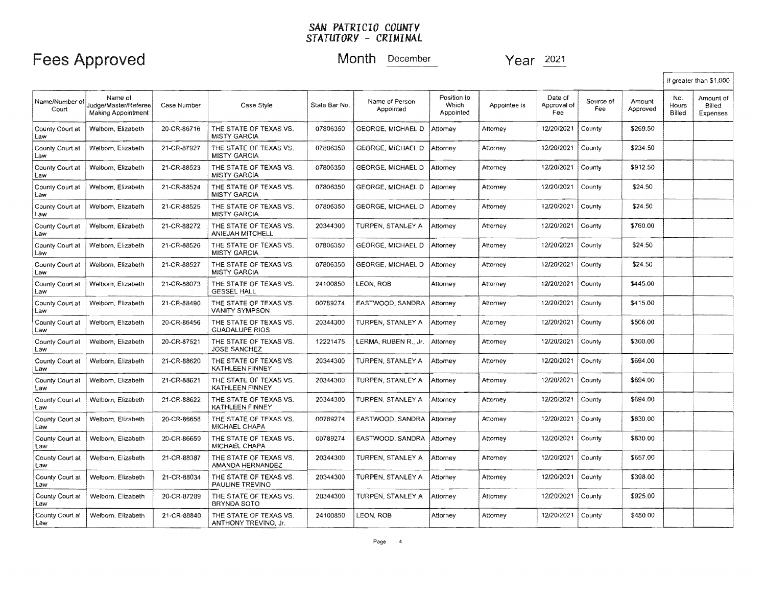## Fees Approved Month December 2021

.

|                        |                                                       |             |                                                   |               |                             |                                   |              |                               |                  |                    |                        | If greater than \$1,000         |
|------------------------|-------------------------------------------------------|-------------|---------------------------------------------------|---------------|-----------------------------|-----------------------------------|--------------|-------------------------------|------------------|--------------------|------------------------|---------------------------------|
| Name/Number o<br>Court | Name of<br>Judge/Master/Referee<br>Making Appointment | Case Number | Case Style                                        | State Bar No. | Name of Person<br>Appointed | Position to<br>Which<br>Appointed | Appointee is | Date of<br>Approval of<br>Fee | Source of<br>Fee | Amount<br>Approved | No.<br>Hours<br>Billed | Amount of<br>Billed<br>Expenses |
| County Court at<br>Law | Welborn, Elizabeth                                    | 20-CR-86716 | THE STATE OF TEXAS VS.<br><b>MISTY GARCIA</b>     | 07806350      | <b>GEORGE, MICHAEL D</b>    | Attorney                          | Attomey      | 12/20/2021                    | County           | \$269.50           |                        |                                 |
| County Court at<br>Law | Welborn, Elizabeth                                    | 21-CR-87927 | THE STATE OF TEXAS VS.<br><b>MISTY GARCIA</b>     | 07806350      | <b>GEORGE, MICHAEL D</b>    | Attorney                          | Attorney     | 12/20/2021                    | County           | \$234.50           |                        |                                 |
| County Court at<br>Law | Welborn, Elizabeth                                    | 21-CR-88523 | THE STATE OF TEXAS VS.<br><b>MISTY GARCIA</b>     | 07806350      | <b>GEORGE, MICHAEL D</b>    | Attorney                          | Attorney     | 12/20/2021                    | County           | \$912.50           |                        |                                 |
| County Court at<br>Law | Welborn, Elizabeth                                    | 21-CR-88524 | THE STATE OF TEXAS VS.<br><b>MISTY GARCIA</b>     | 07806350      | <b>GEORGE, MICHAEL D</b>    | Attorney                          | Attorney     | 12/20/2021                    | County           | \$24.50            |                        |                                 |
| County Court at<br>Law | Welborn, Elizabeth                                    | 21-CR-88525 | THE STATE OF TEXAS VS.<br><b>MISTY GARCIA</b>     | 07806350      | GEORGE, MICHAEL D           | Attorney                          | Attorney     | 12/20/2021                    | County           | \$24.50            |                        |                                 |
| County Court at<br>Law | Welborn, Elizabeth                                    | 21-CR-88272 | THE STATE OF TEXAS VS.<br><b>ANIEJAH MITCHELL</b> | 20344300      | TURPEN. STANLEY A           | Attorney                          | Attorney     | 12/20/2021                    | County           | \$760.00           |                        |                                 |
| County Court at<br>Law | Welborn, Elizabeth                                    | 21-CR-88526 | THE STATE OF TEXAS VS.<br><b>MISTY GARCIA</b>     | 07806350      | GEORGE, MICHAEL D           | Attorney                          | Attorney     | 12/20/2021                    | County           | \$24.50            |                        |                                 |
| County Court at<br>Law | Welborn, Elizabeth                                    | 21-CR-88527 | THE STATE OF TEXAS VS.<br><b>MISTY GARCIA</b>     | 07806350      | GEORGE, MICHAEL D           | Attorney                          | Attorney     | 12/20/2021                    | County           | \$24.50            |                        |                                 |
| County Court at<br>Law | Welborn, Elizabeth                                    | 21-CR-88073 | THE STATE OF TEXAS VS.<br><b>GESSEL HALL</b>      | 24100850      | LEON, ROB                   | Attorney                          | Attorney     | 12/20/2021                    | County           | \$445.00           |                        |                                 |
| County Court at<br>Law | Weiborn, Elizabeth                                    | 21-CR-88490 | THE STATE OF TEXAS VS.<br><b>VANITY SYMPSON</b>   | 00789274      | EASTWOOD, SANDRA            | Attorney                          | Attorney     | 12/20/2021                    | County           | \$415.00           |                        |                                 |
| County Court at<br>Law | Welborn, Elizabeth                                    | 20-CR-86456 | THE STATE OF TEXAS VS.<br><b>GUADALUPE RIOS</b>   | 20344300      | TURPEN, STANLEY A           | Attorney                          | Attorney     | 12/20/2021                    | County           | \$506.00           |                        |                                 |
| County Court at<br>Law | Welborn, Elizabeth                                    | 20-CR-87521 | THE STATE OF TEXAS VS.<br><b>JOSE SANCHEZ</b>     | 12221475      | LERMA, RUBEN R., Jr.        | Attorney                          | Attorney     | 12/20/2021                    | County           | \$300.00           |                        |                                 |
| County Court at<br>Law | Welborn, Elizabeth                                    | 21-CR-88620 | THE STATE OF TEXAS VS.<br>KATHLEEN FINNEY         | 20344300      | TURPEN, STANLEY A           | Attorney                          | Attorney     | 12/20/2021                    | County           | \$694.00           |                        |                                 |
| County Court at<br>Law | Welborn, Elizabeth                                    | 21-CR-88621 | THE STATE OF TEXAS VS.<br>KATHLEEN FINNEY         | 20344300      | TURPEN, STANLEY A           | Attorney                          | Attorney     | 12/20/2021                    | County           | \$694.00           |                        |                                 |
| County Court at<br>Law | Welborn, Elizabeth                                    | 21-CR-88622 | THE STATE OF TEXAS VS.<br>KATHLEEN FINNEY         | 20344300      | TURPEN, STANLEY A           | Attorney                          | Attorney     | 12/20/2021                    | County           | \$694.00           |                        |                                 |
| County Court at<br>Law | Welborn, Elizabeth                                    | 20-CR-86658 | THE STATE OF TEXAS VS.<br>MICHAEL CHAPA           | 00789274      | EASTWOOD, SANDRA            | Attorney                          | Attorney     | 12/20/2021                    | County           | \$830.00           |                        |                                 |
| County Court at<br>Law | Welborn, Elizabeth                                    | 20-CR-86659 | THE STATE OF TEXAS VS.<br>MICHAEL CHAPA           | 00789274      | EASTWOOD, SANDRA            | Attorney                          | Attorney     | 12/20/2021                    | County           | \$830.00           |                        |                                 |
| County Court at<br>Law | Welborn, Elizabeth                                    | 21-CR-88387 | THE STATE OF TEXAS VS.<br>AMANDA HERNANDEZ        | 20344300      | TURPEN, STANLEY A           | Attorney                          | Attorney     | 12/20/2021                    | County           | \$657.00           |                        |                                 |
| County Court at<br>Law | Welborn, Elizabeth                                    | 21-CR-88034 | THE STATE OF TEXAS VS.<br>PAULINE TREVINO         | 20344300      | TURPEN, STANLEY A           | Attorney                          | Attorney     | 12/20/2021                    | County           | \$398.00           |                        |                                 |
| County Court at<br>Law | Welborn, Elizabeth                                    | 20-CR-87289 | THE STATE OF TEXAS VS.<br><b>BRYNDA SOTO</b>      | 20344300      | TURPEN, STANLEY A           | Attorney                          | Allomey      | 12/20/2021                    | County           | \$925.00           |                        |                                 |
| County Court at<br>Law | Welborn, Elizabeth                                    | 21-CR-88840 | THE STATE OF TEXAS VS.<br>ANTHONY TREVINO, Jr.    | 24100850      | LEON, ROB                   | Attorney                          | Attorney     | 12/20/2021                    | County           | \$480.00           |                        |                                 |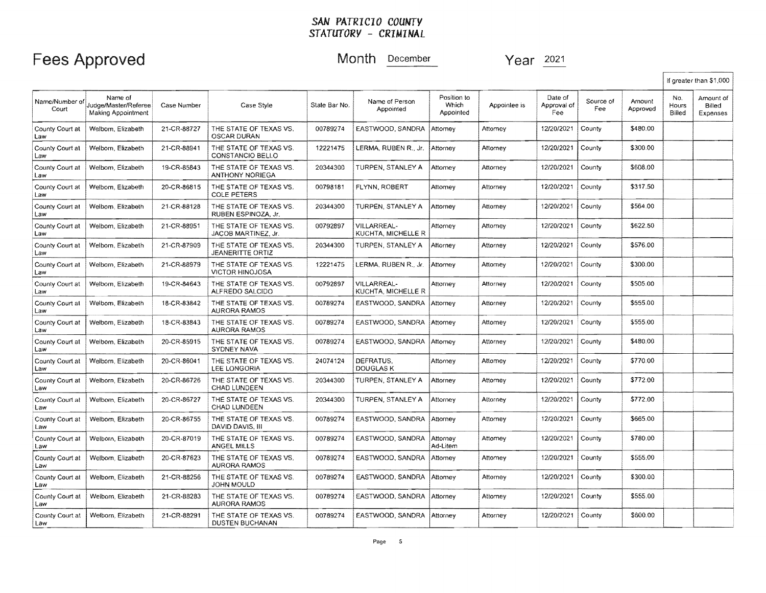# Fees Approved Month December Year 2021

|                         |                                                       |             |                                                   |               |                                   |                                   |              |                               |                  |                    |                        | If greater than \$1,000         |
|-------------------------|-------------------------------------------------------|-------------|---------------------------------------------------|---------------|-----------------------------------|-----------------------------------|--------------|-------------------------------|------------------|--------------------|------------------------|---------------------------------|
| Name/Number of<br>Court | Name of<br>Judge/Master/Referee<br>Making Appointment | Case Number | Case Style                                        | Stale Bar No. | Name of Person<br>Appointed       | Position to<br>Which<br>Appointed | Appointee is | Date of<br>Approval of<br>Fee | Source of<br>Fee | Amount<br>Approved | No.<br>Hours<br>Billed | Amount of<br>Billed<br>Expenses |
| County Court at<br>Law  | Welborn, Elizabeth                                    | 21-CR-88727 | THE STATE OF TEXAS VS.<br><b>OSCAR DURAN</b>      | 00789274      | EASTWOOD, SANDRA                  | Attorney                          | Attorney     | 12/20/2021                    | County           | \$480.00           |                        |                                 |
| County Court at<br>Law  | Welborn, Elizabeth                                    | 21-CR-88941 | THE STATE OF TEXAS VS.<br>CONSTANCIO BELLO        | 12221475      | LERMA, RUBEN R., Jr.              | Attorney                          | Attorney     | 12/20/2021                    | County           | \$300.00           |                        |                                 |
| County Court at<br>Law  | Welborn, Elizabeth                                    | 19-CR-85843 | THE STATE OF TEXAS VS.<br><b>ANTHONY NORIEGA</b>  | 20344300      | TURPEN, STANLEY A                 | Attomey                           | Attorney     | 12/20/2021                    | County           | \$608.00           |                        |                                 |
| County Court at<br>Law  | Welborn, Elizabeth                                    | 20-CR-86815 | THE STATE OF TEXAS VS.<br><b>COLE PETERS</b>      | 00798181      | FLYNN, ROBERT                     | Attorney                          | Attorney     | 12/20/2021                    | County           | \$317.50           |                        |                                 |
| County Court at<br>Law  | Welbom, Elizabeth                                     | 21-CR-88128 | THE STATE OF TEXAS VS.<br>RUBEN ESPINOZA, Jr.     | 20344300      | TURPEN, STANLEY A                 | Attorney                          | Attorney     | 12/20/2021                    | County           | \$564.00           |                        |                                 |
| County Court at<br>Law  | Welbom, Elizabeth                                     | 21-CR-88951 | THE STATE OF TEXAS VS.<br>JACOB MARTINEZ, Jr.     | 00792897      | VILLARREAL-<br>KUCHTA. MICHELLE R | Attorney                          | Attorney     | 12/20/2021                    | County           | \$622.50           |                        |                                 |
| County Court at<br>Law  | Welborn, Elizabeth                                    | 21-CR-87909 | THE STATE OF TEXAS VS.<br><b>JEANERITTE ORTIZ</b> | 20344300      | TURPEN, STANLEY A                 | Atlornev                          | Attorney     | 12/20/2021                    | County           | \$576.00           |                        |                                 |
| County Court at<br>Law  | Welborn, Elizabeth                                    | 21-CR-88979 | THE STATE OF TEXAS VS.<br><b>VICTOR HINOJOSA</b>  | 12221475      | LERMA, RUBEN R., Jr.              | Attomey                           | Attorney     | 12/20/2021                    | County           | \$300.00           |                        |                                 |
| County Court at<br>Law  | Welborn, Elizabeth                                    | 19-CR-84643 | THE STATE OF TEXAS VS.<br>ALFREDO SALCIDO         | 00792897      | VILLARREAL-<br>KUCHTA, MICHELLE R | Attorney                          | Attorney     | 12/20/2021                    | County           | \$505.00           |                        |                                 |
| County Court at<br>Law  | Welbom, Elizabeth                                     | 18-CR-83842 | THE STATE OF TEXAS VS.<br><b>AURORA RAMOS</b>     | 00789274      | EASTWOOD, SANDRA                  | Attornev                          | Attorney     | 12/20/2021                    | County           | \$555.00           |                        |                                 |
| County Court at<br>Law  | Welborn, Elizabeth                                    | 18-CR-83843 | THE STATE OF TEXAS VS.<br><b>AURORA RAMOS</b>     | 00789274      | EASTWOOD, SANDRA                  | Attorney                          | Attomey      | 12/20/2021                    | County           | \$555.00           |                        |                                 |
| County Court at<br>Law  | Welborn, Elizabeth                                    | 20-CR-85915 | THE STATE OF TEXAS VS.<br>SYDNEY NAVA             | 00789274      | EASTWOOD, SANDRA                  | Attorney                          | Attorney     | 12/20/2021                    | County           | \$480.00           |                        |                                 |
| County Court at<br>Law  | Welborn, Elizabeth                                    | 20-CR-86041 | THE STATE OF TEXAS VS.<br>LEE LONGORIA            | 24074124      | DEFRATUS.<br>DOUGLAS K            | Attorney                          | Attomey      | 12/20/2021                    | County           | \$770.00           |                        |                                 |
| County Court at<br>Law  | Welborn, Elizabeth                                    | 20-CR-86726 | THE STATE OF TEXAS VS.<br>CHAD LUNDEEN            | 20344300      | TURPEN, STANLEY A                 | Attorney                          | Attorney     | 12/20/2021                    | County           | \$772.00           |                        |                                 |
| County Court at<br>Law  | Welbom, Elizabeth                                     | 20-CR-86727 | THE STATE OF TEXAS VS.<br>CHAD LUNDEEN            | 20344300      | TURPEN, STANLEY A                 | Attorney                          | Altorney     | 12/20/2021                    | County           | \$772.00           |                        |                                 |
| County Court at<br>Law  | Welborn, Elizabeth                                    | 20-CR-86755 | THE STATE OF TEXAS VS.<br>DAVID DAVIS, III        | 00789274      | EASTWOOD, SANDRA                  | Attorney                          | Attorney     | 12/20/2021                    | County           | \$665.00           |                        |                                 |
| County Court at<br>Law  | Welborn, Elizabeth                                    | 20-CR-87019 | THE STATE OF TEXAS VS.<br>ANGEL MILLS             | 00789274      | EASTWOOD. SANDRA                  | Attorney<br>Ad-Litem              | Attorney     | 12/20/2021                    | County           | \$780.00           |                        |                                 |
| County Court at<br>Law  | Welborn, Elizabeth                                    | 20-CR-87623 | THE STATE OF TEXAS VS.<br><b>AURORA RAMOS</b>     | 00789274      | EASTWOOD, SANDRA                  | Attorney                          | Attorney     | 12/20/2021                    | County           | \$555.00           |                        |                                 |
| County Court at<br>Law  | Welborn, Elizabeth                                    | 21-CR-88256 | THE STATE OF TEXAS VS.<br>JOHN MOULD              | 00789274      | EASTWOOD, SANDRA                  | Attorney                          | Attorney     | 12/20/2021                    | County           | \$300.00           |                        |                                 |
| County Court at<br>Law  | Welborn, Elizabeth                                    | 21-CR-88283 | THE STATE OF TEXAS VS.<br><b>AURORA RAMOS</b>     | 00789274      | EASTWOOD, SANDRA                  | Attorney                          | Attomey      | 12/20/2021                    | County           | \$555.00           |                        |                                 |
| County Court at<br>Law  | Welborn, Elizabeth                                    | 21-CR-88291 | THE STATE OF TEXAS VS.<br>DUSTEN BUCHANAN         | 00789274      | EASTWOOD, SANDRA                  | Attorney                          | Attorney     | 12/20/2021                    | County           | \$600.00           |                        |                                 |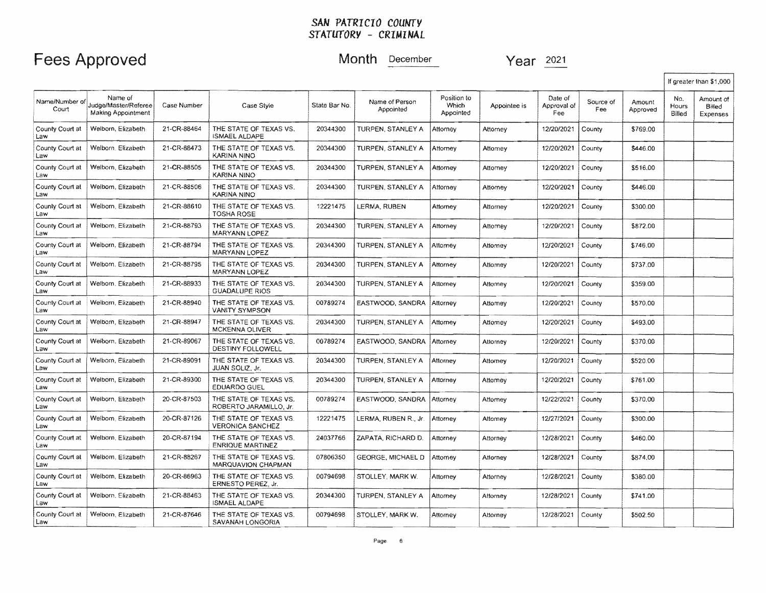## Fees Approved Month **December** Year 2021

|                        |                                                              |             |                                                   |               |                             |                                   |              |                               |                  |                    | If greater than \$1,000 |                                 |  |
|------------------------|--------------------------------------------------------------|-------------|---------------------------------------------------|---------------|-----------------------------|-----------------------------------|--------------|-------------------------------|------------------|--------------------|-------------------------|---------------------------------|--|
| Name/Number o<br>Court | Name of<br>Judge/Master/Referee<br><b>Making Appointment</b> | Case Number | Case Style                                        | State Bar No. | Name of Person<br>Appointed | Position to<br>Which<br>Appointed | Appointee is | Date of<br>Approval of<br>Fee | Source of<br>Fee | Amount<br>Approved | No.<br>Hours<br>Billed  | Amount of<br>Billed<br>Expenses |  |
| County Court at<br>Law | Welborn, Elizabeth                                           | 21-CR-88464 | THE STATE OF TEXAS VS.<br><b>ISMAEL ALDAPE</b>    | 20344300      | TURPEN, STANLEY A           | Attorney                          | Attorney     | 12/20/2021                    | County           | \$769.00           |                         |                                 |  |
| County Court at<br>Law | Welborn, Elizabeth                                           | 21-CR-88473 | THE STATE OF TEXAS VS.<br>KARINA NINO             | 20344300      | TURPEN, STANLEY A           | Attorney                          | Attorney     | 12/20/2021                    | County           | \$446.00           |                         |                                 |  |
| County Court at<br>Law | Welbom, Elizabeth                                            | 21-CR-88505 | THE STATE OF TEXAS VS.<br>KARINA NINO             | 20344300      | TURPEN, STANLEY A           | Attorney                          | Attorney     | 12/20/2021                    | County           | \$516.00           |                         |                                 |  |
| County Court at<br>Law | Welborn, Elizabeth                                           | 21-CR-88506 | THE STATE OF TEXAS VS.<br>KARINA NINO             | 20344300      | TURPEN, STANLEY A           | Attorney                          | Attorney     | 12/20/2021                    | County           | \$446.00           |                         |                                 |  |
| County Court at<br>Law | Welborn, Elizabeth                                           | 21-CR-88610 | THE STATE OF TEXAS VS.<br><b>TOSHA ROSE</b>       | 12221475      | LERMA, RUBEN                | Attorney                          | Attorney     | 12/20/2021                    | County           | \$300.00           |                         |                                 |  |
| County Court at<br>Law | Welbom, Elizabeth                                            | 21-CR-88793 | THE STATE OF TEXAS VS.<br>MARYANN LOPEZ           | 20344300      | TURPEN, STANLEY A           | Attorney                          | Attomey      | 12/20/2021                    | County           | \$872.00           |                         |                                 |  |
| County Court at<br>Law | Welborn, Elizabeth                                           | 21-CR-88794 | THE STATE OF TEXAS VS.<br>MARYANN LOPEZ           | 20344300      | TURPEN, STANLEY A           | Attomey                           | Attomey      | 12/20/2021                    | County           | \$746.00           |                         |                                 |  |
| County Court at<br>Law | Welborn, Elizabeth                                           | 21-CR-88795 | THE STATE OF TEXAS VS.<br>MARYANN LOPEZ           | 20344300      | TURPEN, STANLEY A           | Attorney                          | Attorney     | 12/20/2021                    | County           | \$737.00           |                         |                                 |  |
| County Court at<br>Law | Welborn, Elizabeth                                           | 21-CR-88933 | THE STATE OF TEXAS VS.<br><b>GUADALUPE RIOS</b>   | 20344300      | TURPEN, STANLEY A           | Attorney                          | Attomey      | 12/20/2021                    | County           | \$359.00           |                         |                                 |  |
| County Court at<br>Law | Welborn, Elizabeth                                           | 21-CR-88940 | THE STATE OF TEXAS VS.<br><b>VANITY SYMPSON</b>   | 00789274      | EASTWOOD, SANDRA            | Attorney                          | Attorney     | 12/20/2021                    | County           | \$570.00           |                         |                                 |  |
| County Court at<br>Law | Welborn, Elizabeth                                           | 21-CR-88947 | THE STATE OF TEXAS VS.<br><b>MCKENNA OLIVER</b>   | 20344300      | TURPEN, STANLEY A           | Attorney                          | Attomey      | 12/20/2021                    | County           | \$493.00           |                         |                                 |  |
| County Court at<br>Law | Welborn, Elizabeth                                           | 21-CR-89067 | THE STATE OF TEXAS VS.<br>DESTINY FOLLOWELL       | 00789274      | EASTWOOD, SANDRA            | Attorney                          | Attorney     | 12/20/2021                    | County           | \$370.00           |                         |                                 |  |
| County Court at<br>Law | Welborn, Elizabeth                                           | 21-CR-89091 | THE STATE OF TEXAS VS.<br>JUAN SOLIZ, Jr.         | 20344300      | TURPEN, STANLEY A           | Attorney                          | Attorney     | 12/20/2021                    | County           | \$520.00           |                         |                                 |  |
| County Court at<br>Law | Welborn, Elizabeth                                           | 21-CR-89300 | THE STATE OF TEXAS VS.<br><b>EDUARDO GUEL</b>     | 20344300      | TURPEN, STANLEY A           | Attornev                          | Attorney     | 12/20/2021                    | County           | \$761.00           |                         |                                 |  |
| County Court at<br>Law | Welborn, Elizabeth                                           | 20-CR-87503 | THE STATE OF TEXAS VS.<br>ROBERTO JARAMILLO, Jr.  | 00789274      | EASTWOOD, SANDRA            | Attorney                          | Attomey      | 12/22/2021                    | County           | \$370.00           |                         |                                 |  |
| County Court at<br>Law | Welborn, Elizabeth                                           | 20-CR-87126 | THE STATE OF TEXAS VS.<br><b>VERONICA SANCHEZ</b> | 12221475      | LERMA, RUBEN R., Jr.        | Attorney                          | Attomey      | 12/27/2021                    | County           | \$300.00           |                         |                                 |  |
| County Court at<br>Law | Welborn, Elizabeth                                           | 20-CR-87194 | THE STATE OF TEXAS VS.<br><b>ENRIQUE MARTINEZ</b> | 24037766      | ZAPATA, RICHARD D.          | Attorney                          | Attorney     | 12/28/2021                    | County           | \$460.00           |                         |                                 |  |
| County Court at<br>Law | Welborn, Elizabeth                                           | 21-CR-88267 | THE STATE OF TEXAS VS.<br>MARQUAVION CHAPMAN      | 07806350      | <b>GEORGE, MICHAEL D</b>    | Attorney                          | Attorney     | 12/28/2021                    | County           | \$874.00           |                         |                                 |  |
| County Court at<br>Law | Welborn, Elizabeth                                           | 20-CR-86963 | THE STATE OF TEXAS VS.<br>ERNESTO PEREZ, Jr.      | 00794698      | STOLLEY, MARK W.            | Attorney                          | Attorney     | 12/28/2021                    | County           | \$380.00           |                         |                                 |  |
| County Court at<br>.aw | Welborn, Elizabeth                                           | 21-CR-88463 | THE STATE OF TEXAS VS.<br><b>ISMAEL ALDAPE</b>    | 20344300      | TURPEN, STANLEY A           | Attorney                          | Attorney     | 12/28/2021                    | County           | \$741.00           |                         |                                 |  |
| County Court at<br>Law | Welborn, Elizabeth                                           | 21-CR-87646 | THE STATE OF TEXAS VS.<br>SAVANAH LONGORIA        | 00794698      | STOLLEY, MARK W.            | Attorney                          | Attorney     | 12/28/2021                    | County           | \$502.50           |                         |                                 |  |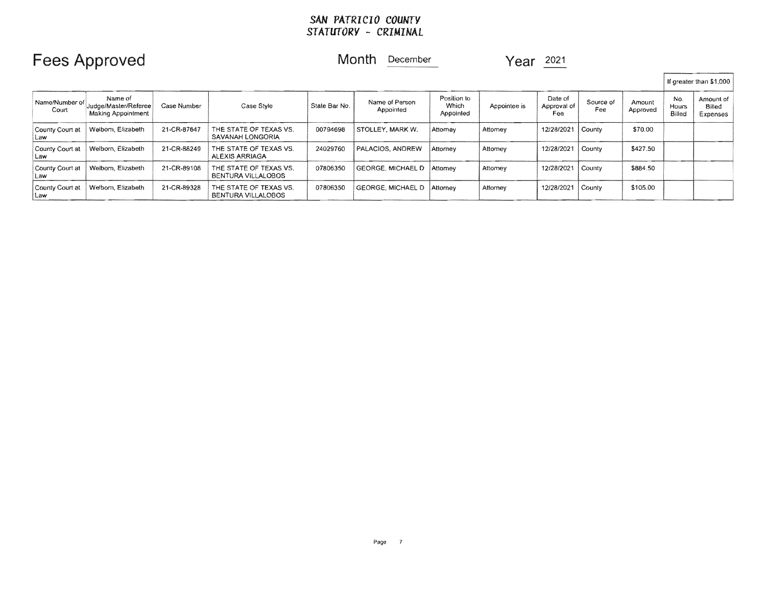# Fees Approved Month December Year 2021

| If greater than \$1,000  |                                                              |             |                                                     |               |                             |                                   |              |                               |                  |                    |                        |                                 |
|--------------------------|--------------------------------------------------------------|-------------|-----------------------------------------------------|---------------|-----------------------------|-----------------------------------|--------------|-------------------------------|------------------|--------------------|------------------------|---------------------------------|
| Name/Number of<br>Court  | Name of<br>Judge/Master/Referee<br><b>Making Appointment</b> | Case Number | Case Style                                          | State Bar No. | Name of Person<br>Appointed | Position to<br>Which<br>Appointed | Appointee is | Date of<br>Approval of<br>Fee | Source of<br>Fee | Amount<br>Approved | No.<br>Hours<br>Billed | Amount of<br>Billed<br>Expenses |
| County Court at<br>l Law | Welborn, Elizabeth                                           | 21-CR-87647 | THE STATE OF TEXAS VS.<br>SAVANAH LONGORIA          | 00794698      | STOLLEY, MARK W.            | Attomey                           | Attomey      | 12/28/2021   County           |                  | \$70.00            |                        |                                 |
| County Court at<br>Law   | Welborn, Elizabeth                                           | 21-CR-88249 | THE STATE OF TEXAS VS.<br>ALEXIS ARRIAGA            | 24029760      | PALACIOS, ANDREW            | Attomey                           | Attomey      | 12/28/2021   County           |                  | \$427.50           |                        |                                 |
| County Court at<br>⊺Law  | Welborn, Elizabeth                                           | 21-CR-89108 | THE STATE OF TEXAS VS.<br><b>BENTURA VILLALOBOS</b> | 07806350      | GEORGE, MICHAEL D           | Attomey                           | Attomey      | 12/28/2021   County           |                  | \$884.50           |                        |                                 |
| County Court at<br>Law   | Welborn, Elizabeth                                           | 21-CR-89328 | THE STATE OF TEXAS VS.<br>BENTURA VILLALOBOS        | 07806350      | GEORGE, MICHAEL D           | Attorney                          | Attorney     | 12/28/2021                    | County           | \$105.00           |                        |                                 |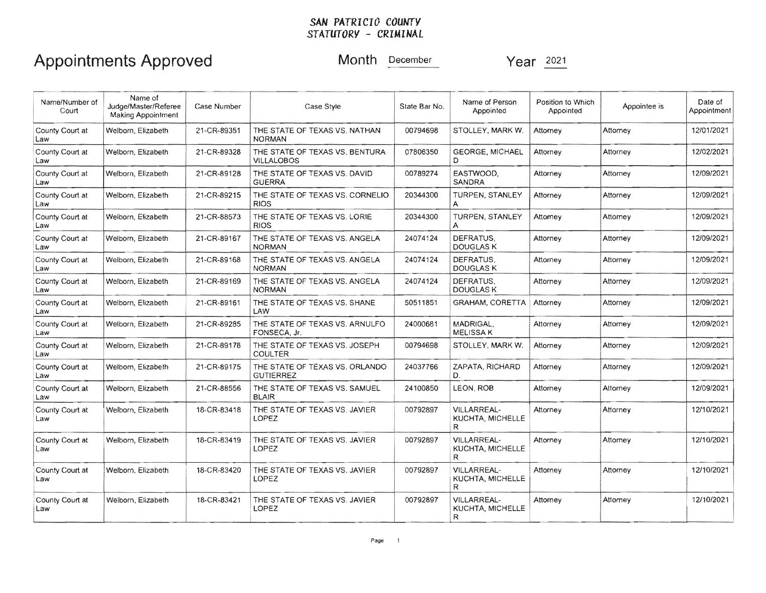## Appointments Approved Month December Year 2021

| Name/Number of<br>Court | Name of<br>Judge/Master/Referee<br><b>Making Appointment</b> | Case Number | Case Style                                          | State Bar No. | Name of Person<br>Appointed                         | Position to Which<br>Appointed | Appointee is | Date of<br>Appointment |
|-------------------------|--------------------------------------------------------------|-------------|-----------------------------------------------------|---------------|-----------------------------------------------------|--------------------------------|--------------|------------------------|
| County Court at<br>Law  | Welborn, Elizabeth                                           | 21-CR-89351 | THE STATE OF TEXAS VS. NATHAN<br><b>NORMAN</b>      | 00794698      | STOLLEY, MARK W.                                    | Attorney                       | Attorney     | 12/01/2021             |
| County Court at<br>Law  | Welborn, Elizabeth                                           | 21-CR-89328 | THE STATE OF TEXAS VS. BENTURA<br><b>VILLALOBOS</b> | 07806350      | <b>GEORGE, MICHAEL</b><br>D.                        | Attorney                       | Attorney     | 12/02/2021             |
| County Court at<br>Law  | Welborn, Elizabeth                                           | 21-CR-89128 | THE STATE OF TEXAS VS. DAVID<br><b>GUERRA</b>       | 00789274      | EASTWOOD.<br>SANDRA                                 | Attorney                       | Attorney     | 12/09/2021             |
| County Court at<br>Law  | Welborn, Elizabeth                                           | 21-CR-89215 | THE STATE OF TEXAS VS. CORNELIO<br><b>RIOS</b>      | 20344300      | <b>TURPEN, STANLEY</b><br>А                         | Attorney                       | Attorney     | 12/09/2021             |
| County Court at<br>Law  | Welborn, Elizabeth                                           | 21-CR-88573 | THE STATE OF TEXAS VS. LORIE<br><b>RIOS</b>         | 20344300      | TURPEN, STANLEY<br>A                                | Attorney                       | Attorney     | 12/09/2021             |
| County Court at<br>Law  | Welborn, Elizabeth                                           | 21-CR-89167 | THE STATE OF TEXAS VS. ANGELA<br><b>NORMAN</b>      | 24074124      | DEFRATUS.<br>DOUGLAS K                              | Attorney                       | Attorney     | 12/09/2021             |
| County Court at<br>Law  | Welborn, Elizabeth                                           | 21-CR-89168 | THE STATE OF TEXAS VS, ANGELA<br><b>NORMAN</b>      | 24074124      | DEFRATUS.<br><b>DOUGLAS K</b>                       | Attorney                       | Attorney     | 12/09/2021             |
| County Court at<br>Law  | Welborn, Elizabeth                                           | 21-CR-89169 | THE STATE OF TEXAS VS. ANGELA<br><b>NORMAN</b>      | 24074124      | DEFRATUS.<br>DOUGLAS K                              | Attorney                       | Attorney     | 12/09/2021             |
| County Court at<br>Law  | Welborn, Elizabeth                                           | 21-CR-89161 | THE STATE OF TEXAS VS. SHANE<br>LAW                 | 50511851      | <b>GRAHAM, CORETTA</b>                              | Attorney                       | Attorney     | 12/09/2021             |
| County Court at<br>Law  | Welborn, Elizabeth                                           | 21-CR-89285 | THE STATE OF TEXAS VS. ARNULFO<br>FONSECA, Jr.      | 24000681      | MADRIGAL.<br><b>MELISSA K</b>                       | Attorney                       | Attorney     | 12/09/2021             |
| County Court at<br>Law  | Welborn, Elizabeth                                           | 21-CR-89178 | THE STATE OF TEXAS VS. JOSEPH<br><b>COULTER</b>     | 00794698      | STOLLEY, MARK W.                                    | Attorney                       | Attorney     | 12/09/2021             |
| County Court at<br>Law  | Welborn, Elizabeth                                           | 21-CR-89175 | THE STATE OF TEXAS VS. ORLANDO<br><b>GUTIERREZ</b>  | 24037766      | ZAPATA, RICHARD<br>D.                               | Attorney                       | Attorney     | 12/09/2021             |
| County Court at<br>Law  | Welborn, Elizabeth                                           | 21-CR-88556 | THE STATE OF TEXAS VS. SAMUEL<br><b>BLAIR</b>       | 24100850      | LEON, ROB                                           | Attorney                       | Attorney     | 12/09/2021             |
| County Court at<br>Law  | Welborn, Elizabeth                                           | 18-CR-83418 | THE STATE OF TEXAS VS, JAVIER<br>LOPEZ              | 00792897      | <b>VILLARREAL-</b><br><b>KUCHTA, MICHELLE</b><br>R. | Attorney                       | Attorney     | 12/10/2021             |
| County Court at<br>Law  | Welborn, Elizabeth                                           | 18-CR-83419 | THE STATE OF TEXAS VS. JAVIER<br>LOPEZ              | 00792897      | <b>VILLARREAL-</b><br>KUCHTA, MICHELLE<br>R         | Attorney                       | Attorney     | 12/10/2021             |
| County Court at<br>Law  | Welborn, Elizabeth                                           | 18-CR-83420 | THE STATE OF TEXAS VS. JAVIER<br><b>LOPEZ</b>       | 00792897      | <b>VILLARREAL-</b><br>KUCHTA, MICHELLE<br>R.        | Attorney                       | Attorney     | 12/10/2021             |
| County Court at<br>Law  | Welborn, Elizabeth                                           | 18-CR-83421 | THE STATE OF TEXAS VS. JAVIER<br>LOPEZ              | 00792897      | <b>VILLARREAL-</b><br>KUCHTA, MICHELLE<br>R         | Attorney                       | Attorney     | 12/10/2021             |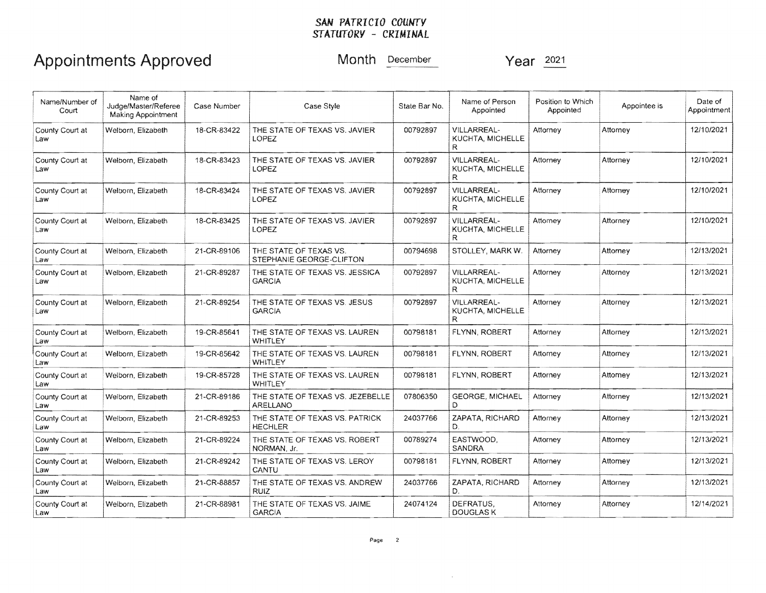# Appointments Approved Month December Year 2021

| Name/Number of<br>Court | Name of<br>Judge/Master/Referee<br><b>Making Appointment</b> | Case Number | Case Style                                         | State Bar No. | Name of Person<br>Appointed                  | Position to Which<br>Appointed | Appointee is | Date of<br>Appointment |
|-------------------------|--------------------------------------------------------------|-------------|----------------------------------------------------|---------------|----------------------------------------------|--------------------------------|--------------|------------------------|
| County Court at<br>Law  | Welborn, Elizabeth                                           | 18-CR-83422 | THE STATE OF TEXAS VS. JAVIER<br>LOPEZ             | 00792897      | VILLARREAL-<br>KUCHTA, MICHELLE<br>R         | Attorney                       | Attorney     | 12/10/2021             |
| County Court at<br>Law  | Welborn, Elizabeth                                           | 18-CR-83423 | THE STATE OF TEXAS VS. JAVIER<br>LOPEZ             | 00792897      | <b>VILLARREAL-</b><br>KUCHTA, MICHELLE<br>R. | Attorney                       | Attorney     | 12/10/2021             |
| County Court at<br>Law  | Welborn, Elizabeth                                           | 18-CR-83424 | THE STATE OF TEXAS VS. JAVIER<br>LOPEZ             | 00792897      | VILLARREAL-<br>KUCHTA, MICHELLE<br>R.        | Attorney                       | Attorney     | 12/10/2021             |
| County Court at<br>Law  | Welborn, Elizabeth                                           | 18-CR-83425 | THE STATE OF TEXAS VS. JAVIER<br>LOPEZ             | 00792897      | VILLARREAL-<br>KUCHTA, MICHELLE<br>R.        | Attorney                       | Attorney     | 12/10/2021             |
| County Court at<br>Law  | Welborn, Elizabeth                                           | 21-CR-89106 | THE STATE OF TEXAS VS.<br>STEPHANIE GEORGE-CLIFTON | 00794698      | STOLLEY, MARK W.                             | Attorney                       | Attorney     | 12/13/2021             |
| County Court at<br>Law  | Welborn, Elizabeth                                           | 21-CR-89287 | THE STATE OF TEXAS VS. JESSICA<br><b>GARCIA</b>    | 00792897      | VILLARREAL-<br>KUCHTA, MICHELLE<br>R.        | Attorney                       | Attorney     | 12/13/2021             |
| County Court at<br>Law  | Welborn, Elizabeth                                           | 21-CR-89254 | THE STATE OF TEXAS VS. JESUS<br>GARCIA             | 00792897      | VILLARREAL-<br>KUCHTA. MICHELLE<br>R         | Attorney                       | Attorney     | 12/13/2021             |
| County Court at<br>Law  | Welborn, Elizabeth                                           | 19-CR-85641 | THE STATE OF TEXAS VS. LAUREN<br>WHITLEY           | 00798181      | FLYNN, ROBERT                                | Attorney                       | Attorney     | 12/13/2021             |
| County Court at<br>Law  | Welborn, Elizabeth                                           | 19-CR-85642 | THE STATE OF TEXAS VS. LAUREN<br>WHITLEY           | 00798181      | <b>FLYNN, ROBERT</b>                         | Attorney                       | Attorney     | 12/13/2021             |
| County Court at<br>Law  | Welborn, Elizabeth                                           | 19-CR-85728 | THE STATE OF TEXAS VS. LAUREN<br>WHITLEY           | 00798181      | FLYNN, ROBERT                                | Attorney                       | Attomey      | 12/13/2021             |
| County Court at<br>Law  | Welborn, Elizabeth                                           | 21-CR-89186 | THE STATE OF TEXAS VS. JEZEBELLE<br>ARELLANO       | 07806350      | <b>GEORGE, MICHAEL</b>                       | Attorney                       | Attorney     | 12/13/2021             |
| County Court at<br>Law  | Welborn, Elizabeth                                           | 21-CR-89253 | THE STATE OF TEXAS VS. PATRICK<br><b>HECHLER</b>   | 24037766      | ZAPATA, RICHARD<br>D                         | Attorney                       | Attorney     | 12/13/2021             |
| County Court at<br>Law  | Welborn, Elizabeth                                           | 21-CR-89224 | THE STATE OF TEXAS VS. ROBERT<br>NORMAN, Jr.       | 00789274      | EASTWOOD.<br><b>SANDRA</b>                   | Attorney                       | Attorney     | 12/13/2021             |
| County Court at<br>Law  | Welborn, Elizabeth                                           | 21-CR-89242 | THE STATE OF TEXAS VS. LEROY<br>CANTU              | 00798181      | FLYNN, ROBERT                                | Attorney                       | Attorney     | 12/13/2021             |
| County Court at<br>Law  | Welborn, Elizabeth                                           | 21-CR-88857 | THE STATE OF TEXAS VS. ANDREW<br>RUIZ.             | 24037766      | ZAPATA, RICHARD<br>D.                        | Attorney                       | Attorney     | 12/13/2021             |
| County Court at<br>Law  | Welborn, Elizabeth                                           | 21-CR-88981 | THE STATE OF TEXAS VS. JAIME<br><b>GARCIA</b>      | 24074124      | DEFRATUS.<br><b>DOUGLAS K</b>                | Attorney                       | Attorney     | 12/14/2021             |

 $\sim$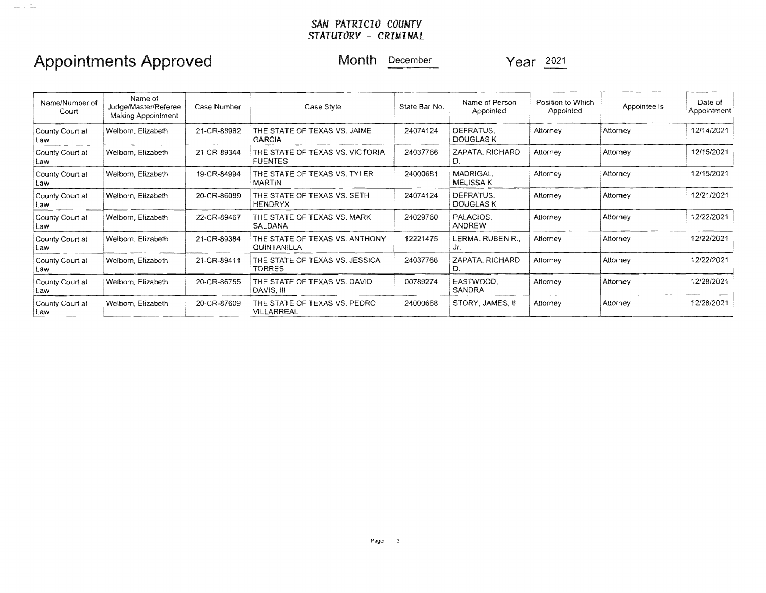# Appointments Approved Month **December** Year  $\frac{2021}{2021}$

 $\begin{picture}(180,10) \put(0,0){\vector(1,0){100}} \put(0,0){\vector(1,0){100}} \put(0,0){\vector(1,0){100}} \put(0,0){\vector(1,0){100}} \put(0,0){\vector(1,0){100}} \put(0,0){\vector(1,0){100}} \put(0,0){\vector(1,0){100}} \put(0,0){\vector(1,0){100}} \put(0,0){\vector(1,0){100}} \put(0,0){\vector(1,0){100}} \put(0,0){\vector(1,0){100}} \put(0,0){\vector($ 

| Name/Number of<br>Court | Name of<br>Judge/Master/Referee<br>Making Appointment | Case Number | Case Style                                        | State Bar No. | Name of Person<br>Appointed   | Position to Which<br>Appointed | Appointee is | Date of<br>Appointment |
|-------------------------|-------------------------------------------------------|-------------|---------------------------------------------------|---------------|-------------------------------|--------------------------------|--------------|------------------------|
| County Court at<br>Law  | Welborn, Elizabeth                                    | 21-CR-88982 | THE STATE OF TEXAS VS. JAIME<br><b>GARCIA</b>     | 24074124      | DEFRATUS.<br>DOUGLAS K        | Attorney                       | Attorney     | 12/14/2021             |
| County Court at<br>Law  | Welborn, Elizabeth                                    | 21 CR-89344 | THE STATE OF TEXAS VS. VICTORIA<br><b>FUENTES</b> | 24037766      | ZAPATA, RICHARD<br>D.         | Attorney                       | Attorney     | 12/15/2021             |
| County Court at<br>Law  | Welborn, Elizabeth                                    | 19-CR-84994 | THE STATE OF TEXAS VS. TYLER<br>MARTIN            | 24000681      | MADRIGAL.<br><b>MELISSA K</b> | Attorney                       | Attorney     | 12/15/2021             |
| County Court at<br>Law  | Welborn, Elizabeth                                    | 20-CR-86089 | THE STATE OF TEXAS VS. SETH<br><b>HENDRYX</b>     | 24074124      | DEFRATUS.<br>DOUGLAS K        | Attorney                       | Attorney     | 12/21/2021             |
| County Court at<br>Law  | Welborn, Elizabeth                                    | 22-CR-89467 | THE STATE OF TEXAS VS. MARK<br>SALDANA            | 24029760      | PALACIOS.<br><b>ANDREW</b>    | Attorney                       | Attorney     | 12/22/2021             |
| County Court at<br>Law  | Welborn, Elizabeth                                    | 21-CR-89384 | THE STATE OF TEXAS VS. ANTHONY<br>QUINTANILLA     | 12221475      | LERMA, RUBEN R.,<br>Jr.       | Attorney                       | Attorney     | 12/22/2021             |
| County Court at<br>Law  | Welborn, Elizabeth                                    | 21-CR-89411 | THE STATE OF TEXAS VS. JESSICA<br>TORRES          | 24037766      | ZAPATA, RICHARD               | Attorney                       | Attorney     | 12/22/2021             |
| County Court at<br>Law  | Welborn, Elizabeth                                    | 20-CR-86755 | THE STATE OF TEXAS VS. DAVID<br>DAVIS, III        | 00789274      | EASTWOOD.<br><b>SANDRA</b>    | Attorney                       | Attorney     | 12/28/2021             |
| County Court at<br>Law  | Welborn, Elizabeth                                    | 20-CR-87609 | THE STATE OF TEXAS VS. PEDRO<br>VILLARREAL        | 24000668      | STORY, JAMES, II              | Attorney                       | Attorney     | 12/28/2021             |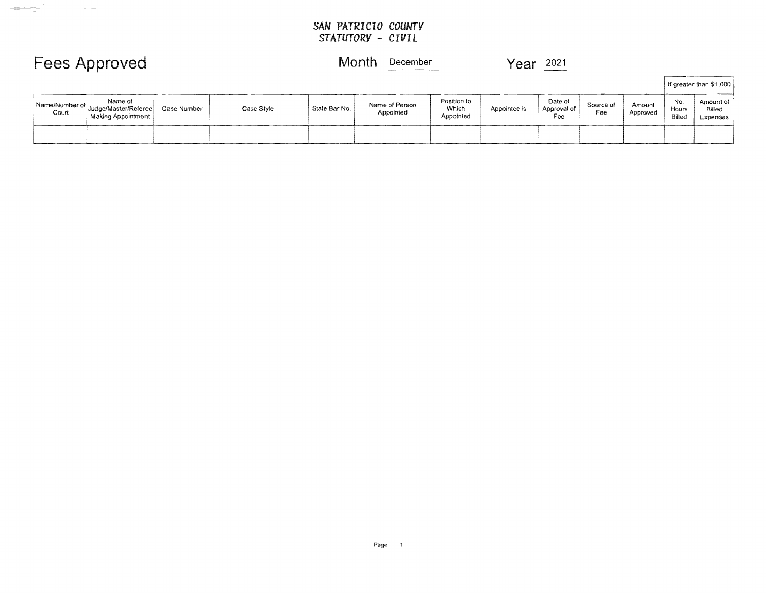## Fees Approved Month December 2021

|                         |                                                       |             |            |               |                             |                                          |              |                               |                  |                    |                        | If greater than \$1,000         |
|-------------------------|-------------------------------------------------------|-------------|------------|---------------|-----------------------------|------------------------------------------|--------------|-------------------------------|------------------|--------------------|------------------------|---------------------------------|
| Name/Number of<br>Court | Name of<br>Judge/Master/Referee<br>Making Appointment | Case Number | Case Style | State Bar No. | Name of Person<br>Appointed | Position to<br><b>Which</b><br>Appointed | Appointee is | Date of<br>Approval of<br>Fee | Source of<br>Fee | Amount<br>Approved | No.<br>Hours<br>Billed | Amount of<br>Billed<br>Expenses |
|                         |                                                       |             |            |               |                             |                                          |              |                               |                  |                    |                        |                                 |